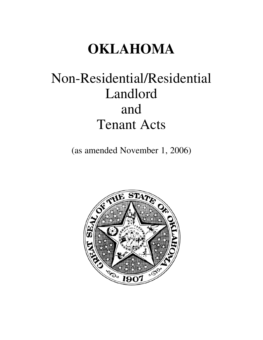# **OKLAHOMA**

# Non-Residential/Residential Landlord and Tenant Acts

(as amended November 1, 2006)

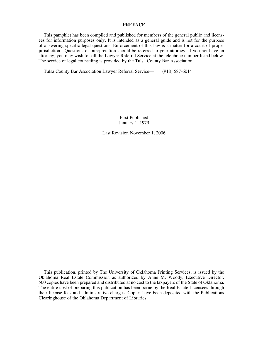# **PREFACE**

This pamphlet has been compiled and published for members of the general public and licensees for information purposes only. It is intended as a general guide and is not for the purpose of answering specific legal questions. Enforcement of this law is a matter for a court of proper jurisdiction. Questions of interpretation should be referred to your attorney. If you not have an attorney, you may wish to call the Lawyer Referral Service at the telephone number listed below. The service of legal counseling is provided by the Tulsa County Bar Association.

Tulsa County Bar Association Lawyer Referral Service— (918) 587-6014

First Published January 1, 1979

Last Revision November 1, 2006

This publication, printed by The University of Oklahoma Printing Services, is issued by the Oklahoma Real Estate Commission as authorized by Anne M. Woody, Executive Director. 500 copies have been prepared and distributed at no cost to the taxpayers of the State of Oklahoma. The entire cost of preparing this publication has been borne by the Real Estate Licensees through their license fees and administrative charges. Copies have been deposited with the Publications Clearinghouse of the Oklahoma Department of Libraries.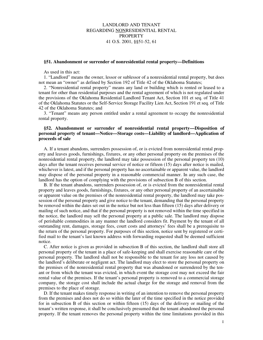# LANDLORD AND TENANT REGARDING NONRESIDENTIAL RENTAL **PROPERTY** 41 O.S. 2001, §§51-52, 61

# **§51. Abandonment or surrender of nonresidential rental property—Definitions**

As used in this act:

1. "Landlord" means the owner, lessor or sublessor of a nonresidential rental property, but does not mean an "owner" as defined by Section 192 of Title 42 of the Oklahoma Statutes;

2. "Nonresidential rental property" means any land or building which is rented or leased to a tenant for other than residential purposes and the rental agreement of which is not regulated under the provisions of the Oklahoma Residential Landlord Tenant Act, Section 101 et seq. of Title 41 of the Oklahoma Statutes or the Self-Service Storage Facility Lien Act, Section 191 et seq. of Title 42 of the Oklahoma Statutes; and

3. "Tenant" means any person entitled under a rental agreement to occupy the nonresidential rental property.

# **§52. Abandonment or surrender of nonresidential rental property—Disposition of personal property of tenant—Notice—Storage costs—Liability of landlord—Application of proceeds of sale**

A. If a tenant abandons, surrenders possession of, or is evicted from nonresidential rental property and leaves goods, furnishings, fixtures, or any other personal property on the premises of the nonresidential rental property, the landlord may take possession of the personal property ten (10) days after the tenant receives personal service of notice or fifteen (15) days after notice is mailed, whichever is latest, and if the personal property has no ascertainable or apparent value, the landlord may dispose of the personal property in a reasonable commercial manner. In any such case, the landlord has the option of complying with the provisions of subsection B of this section.

B. If the tenant abandons, surrenders possession of, or is evicted from the nonresidential rental property and leaves goods, furnishings, fixtures, or any other personal property of an ascertainable or apparent value on the premises of the nonresidential rental property, the landlord may take possession of the personal property and give notice to the tenant, demanding that the personal property be removed within the dates set out in the notice but not less than fifteen (15) days after delivery or mailing of such notice, and that if the personal property is not removed within the time specified in the notice, the landlord may sell the personal property at a public sale. The landlord may dispose of perishable commodities in any manner the landlord considers fit. Payment by the tenant of all outstanding rent, damages, storage fees, court costs and attorneys' fees shall be a prerequisite to the return of the personal property. For purposes of this section, notice sent by registered or certified mail to the tenant's last known address with forwarding requested shall be deemed sufficient notice.

C. After notice is given as provided in subsection B of this section, the landlord shall store all personal property of the tenant in a place of safe-keeping and shall exercise reasonable care of the personal property. The landlord shall not be responsible to the tenant for any loss not caused by the landlord's deliberate or negligent act. The landlord may elect to store the personal property on the premises of the nonresidential rental property that was abandoned or surrendered by the tenant or from which the tenant was evicted, in which event the storage cost may not exceed the fair rental value of the premises. If the tenant's personal property is removed to a commercial storage company, the storage cost shall include the actual charge for the storage and removal from the premises to the place of storage.

D. If the tenant makes timely response in writing of an intention to remove the personal property from the premises and does not do so within the later of the time specified in the notice provided for in subsection B of this section or within fifteen (15) days of the delivery or mailing of the tenant's written response, it shall be conclusively presumed that the tenant abandoned the personal property. If the tenant removes the personal property within the time limitations provided in this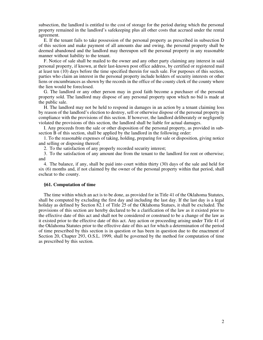subsection, the landlord is entitled to the cost of storage for the period during which the personal property remained in the landlord's safekeeping plus all other costs that accrued under the rental agreement.

E. If the tenant fails to take possession of the personal property as prescribed in subsection D of this section and make payment of all amounts due and owing, the personal property shall be deemed abandoned and the landlord may thereupon sell the personal property in any reasonable manner without liability to the tenant.

F. Notice of sale shall be mailed to the owner and any other party claiming any interest in said personal property, if known, at their last-known post office address, by certified or registered mail at least ten (10) days before the time specified therein for such sale. For purposes of this section, parties who claim an interest in the personal property include holders of security interests or other liens or encumbrances as shown by the records in the office of the county clerk of the county where the lien would be foreclosed.

G. The landlord or any other person may in good faith become a purchaser of the personal property sold. The landlord may dispose of any personal property upon which no bid is made at the public sale.

H. The landlord may not be held to respond in damages in an action by a tenant claiming loss by reason of the landlord's election to destroy, sell or otherwise dispose of the personal property in compliance with the provisions of this section. If however, the landlord deliberately or negligently violated the provisions of this section, the landlord shall be liable for actual damages.

I. Any proceeds from the sale or other disposition of the personal property, as provided in subsection B of this section, shall be applied by the landlord in the following order:

1. To the reasonable expenses of taking, holding, preparing for sale or disposition, giving notice and selling or disposing thereof;

2. To the satisfaction of any properly recorded security interest;

3. To the satisfaction of any amount due from the tenant to the landlord for rent or otherwise; and

4. The balance, if any, shall be paid into court within thirty (30) days of the sale and held for six (6) months and, if not claimed by the owner of the personal property within that period, shall escheat to the county.

## **§61. Computation of time**

The time within which an act is to be done, as provided for in Title 41 of the Oklahoma Statutes, shall be computed by excluding the first day and including the last day. If the last day is a legal holiday as defined by Section 82.1 of Title 25 of the Oklahoma Statues, it shall be excluded. The provisions of this section are hereby declared to be a clarification of the law as it existed prior to the effective date of this act and shall not be considered or construed to be a change of the law as it existed prior to the effective date of this act. Any action or proceeding arising under Title 41 of the Oklahoma Statutes prior to the effective date of this act for which a determination of the period of time prescribed by this section is in question or has been in question due to the enactment of Section 20, Chapter 293, O.S.L. 1999, shall be governed by the method for computation of time as prescribed by this section.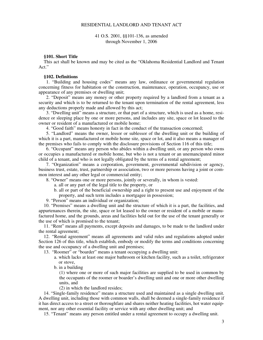# RESIDENTIAL LANDLORD AND TENANT ACT

41 O.S. 2001, §§101-136, as amended through November 1, 2006

## **§101. Short Title**

This act shall be known and may be cited as the "Oklahoma Residential Landlord and Tenant Act."

# **§102. Definitions**

1. "Building and housing codes" means any law, ordinance or governmental regulation concerning fitness for habitation or the construction, maintenance, operation, occupancy, use or appearance of any premises or dwelling unit;

2. "Deposit" means any money or other property required by a landlord from a tenant as a security and which is to be returned to the tenant upon termination of the rental agreement, less any deductions properly made and allowed by this act;

3. "Dwelling unit" means a structure, or that part of a structure, which is used as a home, residence or sleeping place by one or more persons, and includes any site, space or lot leased to the owner or resident of a manufactured or mobile home;

4. "Good faith" means honesty in fact in the conduct of the transaction concerned;

5. "Landlord" means the owner, lessor or sublessor of the dwelling unit or the building of which it is a part, manufactured or mobile home site, space or lot, and it also means a manager of the premises who fails to comply with the disclosure provisions of Section 116 of this title;

6. "Occupant" means any person who abides within a dwelling unit, or any person who owns or occupies a manufactured or mobile home, but who is not a tenant or an unemancipated minor child of a tenant, and who is not legally obligated by the terms of a rental agreement;

7. "Organization" means a corporation, government, governmental subdivision or agency, business trust, estate, trust, partnership or association, two or more persons having a joint or common interest and any other legal or commercial entity;

- 8. "Owner" means one or more persons, jointly or severally, in whom is vested:
	- a. all or any part of the legal title to the property, or
	- b. all or part of the beneficial ownership and a right to present use and enjoyment of the property, and such term includes a mortgagee in possession;

9. "Person" means an individual or organization;

10. "Premises" means a dwelling unit and the structure of which it is a part, the facilities, and appurtenances therein, the site, space or lot leased to the owner or resident of a mobile or manufactured home, and the grounds, areas and facilities held out for the use of the tenant generally or the use of which is promised to the tenant;

11. "Rent" means all payments, except deposits and damages, to be made to the landlord under the rental agreement;

12. "Rental agreement" means all agreements and valid rules and regulations adopted under Section 126 of this title, which establish, embody or modify the terms and conditions concerning the use and occupancy of a dwelling unit and premises;

- 13. "Roomer" or "boarder" means a tenant occupying a dwelling unit:
	- a. which lacks at least one major bathroom or kitchen facility, such as a toilet, refrigerator or stove,
	- b. in a building

 (1) where one or more of such major facilities are supplied to be used in common by the occupants of the roomer or boarder's dwelling unit and one or more other dwelling units, and

(2) in which the landlord resides;

14. "Single-family residence" means a structure used and maintained as a single dwelling unit. A dwelling unit, including those with common walls, shall be deemed a single-family residence if it has direct access to a street or thoroughfare and shares neither heating facilities, hot water equipment, nor any other essential facility or service with any other dwelling unit; and

15. "Tenant" means any person entitled under a rental agreement to occupy a dwelling unit.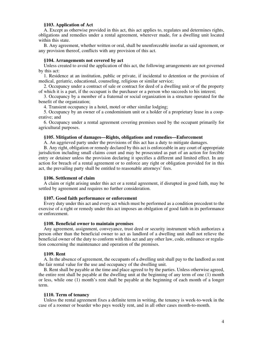## **§103. Application of Act**

A. Except as otherwise provided in this act, this act applies to, regulates and determines rights, obligations and remedies under a rental agreement, wherever made, for a dwelling unit located within this state.

B. Any agreement, whether written or oral, shall be unenforceable insofar as said agreement, or any provision thereof, conflicts with any provision of this act.

## **§104. Arrangements not covered by act**

Unless created to avoid the application of this act, the following arrangements are not governed by this act:

1. Residence at an institution, public or private, if incidental to detention or the provision of medical, geriatric, educational, counseling, religious or similar service;

2. Occupancy under a contract of sale or contract for deed of a dwelling unit or of the property of which it is a part, if the occupant is the purchaser or a person who succeeds to his interest;

3. Occupancy by a member of a fraternal or social organization in a structure operated for the benefit of the organization;

4. Transient occupancy in a hotel, motel or other similar lodging;

5. Occupancy by an owner of a condominium unit or a holder of a proprietary lease in a cooperative; and

6. Occupancy under a rental agreement covering premises used by the occupant primarily for agricultural purposes.

## **§105. Mitigation of damages—Rights, obligations and remedies—Enforcement**

A. An aggrieved party under the provisions of this act has a duty to mitigate damages.

B. Any right, obligation or remedy declared by this act is enforceable in any court of appropriate jurisdiction including small claims court and may be prosecuted as part of an action for forcible entry or detainer unless the provision declaring it specifies a different and limited effect. In any action for breach of a rental agreement or to enforce any right or obligation provided for in this act, the prevailing party shall be entitled to reasonable attorneys' fees.

# **§106. Settlement of claim**

A claim or right arising under this act or a rental agreement, if disrupted in good faith, may be settled by agreement and requires no further consideration.

#### **§107. Good faith performance or enforcement**

Every duty under this act and every act which must be performed as a condition precedent to the exercise of a right or remedy under this act imposes an obilgation of good faith in its performance or enforcement.

## **§108. Beneficial owner to maintain premises**

Any agreement, assignment, conveyance, trust deed or security instrument which authorizes a person other than the beneficial owner to act as landlord of a dwelling unit shall not relieve the beneficial owner of the duty to conform with this act and any other law, code, ordinance or regulation concerning the maintenance and operation of the premises.

#### **§109. Rent**

A. In the absence of agreement, the occupants of a dwelling unit shall pay to the landlord as rent the fair rental value for the use and occupancy of the dwelling unit.

B. Rent shall be payable at the time and place agreed to by the parties. Unless otherwise agreed, the entire rent shall be payable at the dwelling unit at the beginning of any term of one (1) month or less, while one (1) month's rent shall be payable at the beginning of each month of a longer term.

#### **§110. Term of tenancy**

Unless the rental agreement fixes a definite term in writing, the tenancy is week-to-week in the case of a roomer or boarder who pays weekly rent, and in all other cases month-to-month.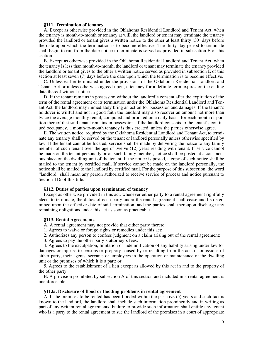## **§111. Termination of tenancy**

A. Except as otherwise provided in the Oklahoma Residential Landlord and Tenant Act, when the tenancy is month-to-month or tenancy at will, the landlord or tenant may terminate the tenancy provided the landlord or tenant gives a written notice to the other at least thirty (30) days before the date upon which the termination is to become effective. The thirty day period to terminate shall begin to run from the date notice to terminate is served as provided in subsection E of this section.

B. Except as otherwise provided in the Oklahoma Residential Landlord and Tenant Act, when the tenancy is less than month-to-month, the landlord or tenant may terminate the tenancy provided the landlord or tenant gives to the other a written notice served as provided in subsection E of this section at least seven (7) days before the date upon which the termination is to become effective.

C. Unless earlier terminated under the provisions of the Oklahoma Residential Landlord and Tenant Act or unless otherwise agreed upon, a tenancy for a definite term expires on the ending date thereof without notice.

D. If the tenant remains in possession without the landlord's consent after the expiration of the term of the rental agreement or its termination under the Oklahoma Residential Landlord and Tenant Act, the landlord may immediately bring an action for possession and damages. If the tenant's holdover is willful and not in good faith the landlord may also recover an amount not more than twice the average monthly rental, computed and prorated on a daily basis, for each month or portion thereof that said tenant remains in possession. If the landlord consents to the tenant's continued occupancy, a month-to-month tenancy is thus created, unless the parties otherwise agree.

E. The written notice, required by the Oklahoma Residential Landlord and Tenant Act, to terminate any tenancy shall be served on the tenant or landlord personally unless otherwise specified by law. If the tenant cannot be located, service shall be made by delivering the notice to any family member of such tenant over the age of twelve (12) years residing with tenant. If service cannot be made on the tenant personally or on such family member, notice shall be posted at a conspicuous place on the dwelling unit of the tenant. If the notice is posted, a copy of such notice shall be mailed to the tenant by certified mail. If service cannot be made on the landlord personally, the notice shall be mailed to the landlord by certified mail. For the purpose of this subsection, the word "landlord" shall mean any person authorized to receive service of process and notice pursuant to Section 116 of this title.

# **§112. Duties of parties upon termination of tenancy**

Except as otherwise provided in this act, whenever either party to a rental agreement rightfully elects to terminate, the duties of each party under the rental agreement shall cease and be determined upon the effective date of said termination, and the parties shall thereupon discharge any remaining obligations under this act as soon as practicable.

## **§113. Rental Agreements**

A. A rental agreement may not provide that either party thereto:

- 1. Agrees to waive or forego rights or remedies under this act;
- 2. Authorizes any person to confess judgment on a claim arising out of the rental agreement;
- 3. Agrees to pay the other party's attorney's fees;

4. Agrees to the exculpation, limitation or indemnification of any liability arising under law for damages or injuries to persons or property caused by or resulting from the acts or omissions of either party, their agents, servants or employees in the operation or maintenance of the dwelling unit or the premises of which it is a part; or

5. Agrees to the establishment of a lien except as allowed by this act in and to the property of the other party.

B. A provision prohibited by subsection A of this section and included in a rental agreement is unenforceable.

#### **§113a. Disclosure of flood or flooding problems in rental agreement**

A. If the premises to be rented has been flooded within the past five (5) years and such fact is known to the landlord, the landlord shall include such information prominently and in writing as part of any written rental agreements. Failure to provide such information shall entitle any tenant who is a party to the rental agreement to sue the landlord of the premises in a court of appropriate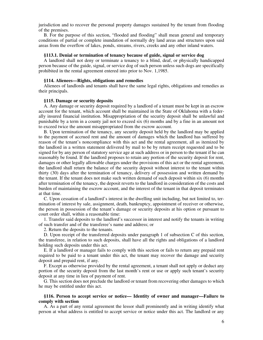jurisdiction and to recover the personal property damages sustained by the tenant from flooding of the premises.

B. For the purpose of this section, "flooded and flooding" shall mean general and temporary conditions of partial or complete inundation of normally dry land areas and structures upon said areas from the overflow of lakes, ponds, streams, rivers, creeks and any other inland waters.

## **§113.1. Denial or termination of tenancy because of guide, signal or service dog**

A landlord shall not deny or terminate a tenancy to a blind, deaf, or physically handicapped person because of the guide, signal, or service dog of such person unless such dogs are specifically prohibited in the rental agreement entered into prior to Nov. 1,1985.

### **§114. Alienees—Rights, obligations and remedies**

Alienees of landlords and tenants shall have the same legal rights, obligations and remedies as their principals.

#### **§115. Damage or security deposits**

A. Any damage or security deposit required by a landlord of a tenant must be kept in an escrow account for the tenant, which account shall be maintained in the State of Oklahoma with a federally insured financial institution. Misappropriation of the security deposit shall be unlawful and punishable by a term in a county jail not to exceed six (6) months and by a fine in an amount not to exceed twice the amount misappropriated from the escrow account.

B. Upon termination of the tenancy, any security deposit held by the landlord may be applied to the payment of accrued rent and the amount of damages which the landlord has suffered by reason of the tenant's noncompliance with this act and the rental agreement, all as itemized by the landlord in a written statement delivered by mail to be by return receipt requested and to be signed for by any person of statutory service age at such address or in person to the tenant if he can reasonably be found. If the landlord proposes to retain any portion of the security deposit for rent, damages or other legally allowable charges under the provisions of this act or the rental agreement, the landlord shall return the balance of the security deposit without interest to the tenant within thirty (30) days after the termination of tenancy, delivery of possession and written demand by the tenant. If the tenant does not make such written demand of such deposit within six (6) months after termination of the tenancy, the deposit reverts to the landlord in consideration of the costs and burden of maintaining the escrow account, and the interest of the tenant in that deposit terminates at that time.

C. Upon cessation of a landlord's interest in the dwelling unit including, but not limited to, termination of interest by sale, assignment, death, bankruptcy, appointment of receiver or otherwise, the person in possession of the tenant's damage or security deposits at his option or pursuant to court order shall, within a reasonable time:

1. Transfer said deposits to the landlord's successor in interest and notify the tenants in writing of such transfer and of the transferee's name and address; or

2. Return the deposits to the tenants.

D. Upon receipt of the transferred deposits under paragraph 1 of subsection C of this section, the transferee, in relation to such deposits, shall have all the rights and obligations of a landlord holding such deposits under this act.

E. If a landlord or manager fails to comply with this section or fails to return any prepaid rent required to be paid to a tenant under this act, the tenant may recover the damage and security deposit and prepaid rent, if any.

F. Except as otherwise provided by the rental agreement, a tenant shall not apply or deduct any portion of the security deposit from the last month's rent or use or apply such tenant's security deposit at any time in lieu of payment of rent.

G. This section does not preclude the landlord or tenant from recovering other damages to which he may be entitled under this act.

# **§116. Person to accept service or notice— Identity of owner and manager—Failure to comply with section**

A. As a part of any rental agreement the lessor shall prominently and in writing identify what person at what address is entitled to accept service or notice under this act. The landlord or any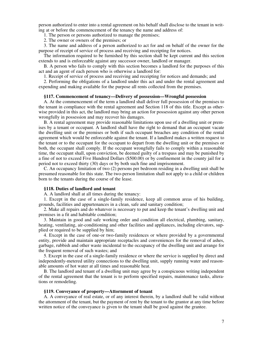person authorized to enter into a rental agreement on his behalf shall disclose to the tenant in writing at or before the commencement of the tenancy the name and address of:

1. The person or persons authorized to manage the premises;

2. The owner or owners of the premises; or

3. The name and address of a person authorized to act for and on behalf of the owner for the purpose of receipt of service of process and receiving and receipting for notices.

The information required to be furnished by this section shall be kept current and this section extends to and is enforceable against any successor owner, landlord or manager.

B. A person who fails to comply with this section becomes a landlord for the purposes of this act and an agent of each person who is otherwise a landlord for:

1. Receipt of service of process and receiving and receipting for notices and demands; and

2. Performing the obligations of a landlord under this act and under the rental agreement and expending and making available for the purpose all rents collected from the premises.

# **§117. Commencement of tenancy—Delivery of possession—Wrongful possession**

A. At the commencement of the term a landlord shall deliver full possession of the premises to the tenant in compliance with the rental agreement and Section 118 of this title. Except as otherwise provided in this act, the landlord may bring an action for possession against any other person wrongfully in possession and may recover his damages.

B. A rental agreement may provide reasonable limitations upon use of a dwelling unit or premises by a tenant or occupant. A landlord shall have the right to demand that an occupant vacate the dwelling unit or the premises or both if such occupant breaches any condition of the rental agreement which would be enforceable against the tenant. If a landlord makes a written request to the tenant or to the occupant for the occupant to depart from the dwelling unit or the premises or both, the occupant shall comply. If the occupant wrongfully fails to comply within a reasonable time, the occupant shall, upon conviction, be deemed guilty of a trespass and may be punished by a fine of not to exceed Five Hundred Dollars (\$500.00) or by confinement in the county jail for a period not to exceed thirty (30) days or by both such fine and imprisonment.

C. An occupancy limitation of two (2) persons per bedroom residing in a dwelling unit shall be presumed reasonable for this state. The two-person limitation shall not apply to a child or children born to the tenants during the course of the lease.

# **§118. Duties of landlord and tenant**

A. A landlord shall at all times during the tenancy:

1. Except in the case of a single-family residence, keep all common areas of his building, grounds, facilities and appurtenances in a clean, safe and sanitary condition;

2. Make all repairs and do whatever is necessary to put and keep the tenant's dwelling unit and premises in a fit and habitable condition;

3. Maintain in good and safe working order and condition all electrical, plumbing, sanitary, heating, ventilating, air-conditioning and other facilities and appliances, including elevators, supplied or required to be supplied by him;

4. Except in the case of one-or two-family residences or where provided by a governmental entity, provide and maintain appropriate receptacles and conveniences for the removal of ashes, garbage, rubbish and other waste incidental to the occupancy of the dwelling unit and arrange for the frequent removal of such wastes; and

5. Except in the case of a single-family residence or where the service is supplied by direct and independently-metered utility connections to the dwelling unit, supply running water and reasonable amounts of hot water at all times and reasonable heat.

B. The landlord and tenant of a dwelling unit may agree by a conspicuous writing independent of the rental agreement that the tenant is to perform specified repairs, maintenance tasks, alterations or remodeling.

#### **§119. Conveyance of property—Attornment of tenant**

A. A conveyance of real estate, or of any interest therein, by a landlord shall be valid without the attornment of the tenant, but the payment of rent by the tenant to the grantor at any time before written notice of the conveyance is given to the tenant shall be good against the grantee.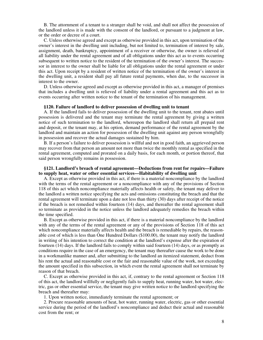B. The attornment of a tenant to a stranger shall be void, and shall not affect the possession of the landlord unless it is made with the consent of the landlord, or pursuant to a judgment at law, or the order or decree of a court.

C. Unless otherwise agreed and except as otherwise provided in this act, upon termination of the owner's interest in the dwelling unit including, but not limited to, termination of interest by sale, assignment, death, bankruptcy, appointment of a receiver or otherwise, the owner is relieved of all liability under the rental agreement and of all obligations under this act as to events occurring subsequent to written notice to the resident of the termination of the owner's interest. The successor in interest to the owner shall be liable for all obligations under the rental agreement or under this act. Upon receipt by a resident of written notice of the termination of the owner's interest in the dwelling unit, a resident shall pay all future rental payments, when due, to the successor in interest to the owner.

D. Unless otherwise agreed and except as otherwise provided in this act, a manager of premises that includes a dwelling unit is relieved of liability under a rental agreement and this act as to events occurring after written notice to the tenant of the termination of his management.

## **§120. Failure of landlord to deliver possession of dwelling unit to tenant**

A. If the landlord fails to deliver possession of the dwelling unit to the tenant, rent abates until possession is delivered and the tenant may terminate the rental agreement by giving a written notice of such termination to the landlord, whereupon the landlord shall return all prepaid rent and deposit, or the tenant may, at his option, demand performance of the rental agreement by the landlord and maintain an action for possession of the dwelling unit against any person wrongfully in possession and recover the actual damages sustained by him.

B. If a person's failure to deliver possession is willful and not in good faith, an aggrieved person may recover from that person an amount not more than twice the monthly rental as specified in the rental agreement, computed and prorated on a daily basis, for each month, or portion thereof, that said person wrongfully remains in possession.

# **§121. Landlord's breach of rental agreement—Deductions from rent for repairs—Failure to supply heat, water or other essential services—Habitability of dwelling unit**

A. Except as otherwise provided in this act, if there is a material noncompliance by the landlord with the terms of the rental agreement or a noncompliance with any of the provisions of Section 118 of this act which noncompliance materially affects health or safety, the tenant may deliver to the landlord a written notice specifying the acts and omissions constituting the breach and that the rental agreement will terminate upon a date not less than thirty (30) days after receipt of the notice if the breach is not remedied within fourteen (14) days, and thereafter the rental agreement shall so terminate as provided in the notice unless the landlord adequately remedies the breach within the time specified.

B. Except as otherwise provided in this act, if there is a material noncompliance by the landlord with any of the terms of the rental agreement or any of the provisions of Section 118 of this act which noncompliance materially affects health and the breach is remediable by repairs, the reasonable cost of which is less than One Hundred Dollars (\$100.00), the tenant may notify the landlord in writing of his intention to correct the condition at the landlord's expense after the expiration of fourteen  $(14)$  days. If the landlord fails to comply within said fourteen  $(14)$  days, or as promptly as conditions require in the case of an emergency, the tenant may thereafter cause the work to be done in a workmanlike manner and, after submitting to the landlord an itemized statement, deduct from his rent the actual and reasonable cost or the fair and reasonable value of the work, not exceeding the amount specified in this subsection, in which event the rental agreement shall not terminate by reason of that breach.

C. Except as otherwise provided in this act, if, contrary to the rental agreement or Section 118 of this act, the landlord willfully or negligently fails to supply heat, running water, hot water, electric, gas or other essential service, the tenant may give written notice to the landlord specifying the breach and thereafter may:

1. Upon written notice, immediately terminate the rental agreement; or

2. Procure reasonable amounts of heat, hot water, running water, electric, gas or other essential service during the period of the landlord's noncompliance and deduct their actual and reasonable cost from the rent; or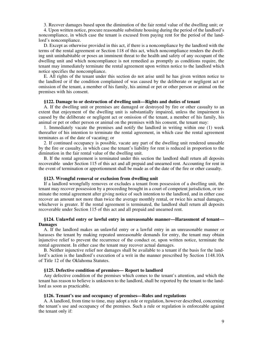3. Recover damages based upon the diminution of the fair rental value of the dwelling unit; or

4. Upon written notice, procure reasonable substitute housing during the period of the landlord's noncompliance, in which case the tenant is excused from paying rent for the period of the landlord's noncompliance.

D. Except as otherwise provided in this act, if there is a noncompliance by the landlord with the terms of the rental agreement or Section 118 of this act, which noncompliance renders the dwelling unit uninhabitable or poses an imminent threat to the health and safety of any occupant of the dwelling unit and which noncompliance is not remedied as promptly as conditions require, the tenant may immediately terminate the rental agreement upon written notice to the landlord which notice specifies the noncompliance.

E. All rights of the tenant under this section do not arise until he has given written notice to the landlord or if the condition complained of was caused by the deliberate or negligent act or omission of the tenant, a member of his family, his animal or pet or other person or animal on the premises with his consent.

## **§122. Damage to or destruction of dwelling unit—Rights and duties of tenant**

A. If the dwelling unit or premises are damaged or destroyed by fire or other casualty to an extent that enjoyment of the dwelling unit is substantially impaired, unless the impairment is caused by the deliberate or negligent act or omission of the tenant, a member of his family, his animal or pet or other person or animal on the premises with his consent, the tenant may:

1. Immediately vacate the premises and notify the landlord in writing within one (1) week thereafter of his intention to terminate the rental agreement, in which case the rental agreement terminates as of the date of vacating; or

2. If continued occupancy is possible, vacate any part of the dwelling unit rendered unusable by the fire or casualty, in which case the tenant's liability for rent is reduced in proportion to the diminution in the fair rental value of the dwelling unit.

B. If the rental agreement is terminated under this section the landlord shall return all deposits recoverable under Section 115 of this act and all prepaid and unearned rent. Accounting for rent in the event of termination or apportionment shall be made as of the date of the fire or other casualty.

#### **§123. Wrongful removal or exclusion from dwelling unit**

If a landlord wrongfully removes or excludes a tenant from possession of a dwelling unit, the tenant may recover possession by a proceeding brought in a court of competent jurisdiction, or terminate the rental agreement after giving notice of such intention to the landlord, and in either case recover an amount not more than twice the average monthly rental, or twice his actual damages, whichever is greater. If the rental agreement is terminated, the landlord shall return all deposits recoverable under Section 115 of this act and all prepaid and unearned rent.

# **§124. Unlawful entry or lawful entry in unreasonable manner—Harassment of tenant— Damages**

A. If the landlord makes an unlawful entry or a lawful entry in an unreasonable manner or harasses the tenant by making repeated unreasonable demands for entry, the tenant may obtain injunctive relief to prevent the recurrence of the conduct or, upon written notice, terminate the rental agreement. In either case the tenant may recover actual damages.

B. Neither injunctive relief nor damages shall be available to a tenant if the basis for the landlord's action is the landlord's execution of a writ in the manner prescribed by Section 1148.10A of Title 12 of the Oklahoma Statutes.

#### **§125. Defective condition of premises— Report to landlord**

Any defective condition of the premises which comes to the tenant's attention, and which the tenant has reason to believe is unknown to the landlord, shall be reported by the tenant to the landlord as soon as practicable.

# **§126. Tenant's use and occupancy of premises—Rules and regulations**

A. A landlord, from time to time, may adopt a rule or regulation, however described, concerning the tenant's use and occupancy of the premises. Such a rule or regulation is enforceable against the tenant only if: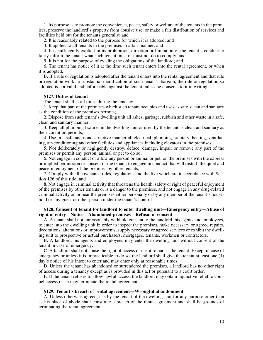1. Its purpose is to promote the convenience, peace, safety or welfare of the tenants in the premises, preserve the landlord's property from abusive use, or make a fair distribution of services and facilities held out for the tenants generally; and

2. It is reasonably related to the purpose for which it is adopted; and

3. It applies to all tenants in the premises in a fair manner; and

4. It is sufficiently explicit in its prohibition, direction or limitation of the tenant's conduct to fairly inform the tenant what such tenant must or must not do to comply; and

5. It is not for the purpose of evading the obligations of the landlord; and

6. The tenant has notice of it at the time such tenant enters into the rental agreement, or when it is adopted.

B. If a rule or regulation is adopted after the tenant enters into the rental agreement and that rule or regulation works a substantial modification of such tenant's bargain, the rule or regulation so adopted is not valid and enforceable against the tenant unless he consents to it in writing.

# **§127. Duties of tenant**

The tenant shall at all times during the tenancy:

1. Keep that part of the premises which such tenant occupies and uses as safe, clean and sanitary as the condition of the premises permits;

2. Dispose from such tenant's dwelling unit all ashes, garbage, rubbish and other waste in a safe, clean and sanitary manner;

3. Keep all plumbing fixtures in the dwelling unit or used by the tenant as clean and sanitary as their condition permits;

4. Use in a safe and nondestructive manner all electrical, plumbing, sanitary, heating, ventilating, air-conditioning and other facilities and appliances including elevators in the premises;

5. Not deliberately or negligently destroy, deface, damage, impair or remove any part of the premises or permit any person, animal or pet to do so;

6. Not engage in conduct or allow any person or animal or pet, on the premises with the express or implied permission or consent of the tenant, to engage in conduct that will disturb the quiet and peaceful enjoyment of the premises by other tenants;

7. Comply with all covenants, rules, regulations and the like which are in accordance with Section 126 of this title; and

8. Not engage in criminal activity that threatens the health, safety or right of peaceful enjoyment of the premises by other tenants or is a danger to the premises, and not engage in any drug-related criminal activity on or near the premises either personally or by any member of the tenant's household or any guest or other person under the tenant's control.

# **§128. Consent of tenant for landlord to enter dwelling unit—Emergency entry—Abuse of right of entry—Notice—Abandoned premises—Refusal of consent**

A. A tenant shall not unreasonably withhold consent to the landlord, his agents and employees, to enter into the dwelling unit in order to inspect the premises, make necessary or agreed repairs, decorations, alterations or improvements, supply necessary or agreed services or exhibit the dwelling unit to prospective or actual purchasers, mortgagee, tenants, workmen or contractors.

B. A landlord, his agents and employees may enter the dwelling unit without consent of the tenant in case of emergency.

C. A landlord shall not abuse the right of access or use it to harass the tenant. Except in case of emergency or unless it is impracticable to do so, the landlord shall give the tenant at least one (1) day's notice of his intent to enter and may enter only at reasonable times.

D. Unless the tenant has abandoned or surrendered the premises, a landlord has no other right of access during a tenancy except as is provided in this act or pursuant to a court order.

E. If the tenant refuses to allow lawful access, the landlord may obtain injunctive relief to compel access or he may terminate the rental agreement.

## **§129. Tenant's breach of rental agreement—Wrongful abandonment**

A. Unless otherwise agreed, use by the tenant of the dwelling unit for any purpose other than as his place of abode shall constitute a breach of the rental agreement and shall be grounds of terminating the rental agreement.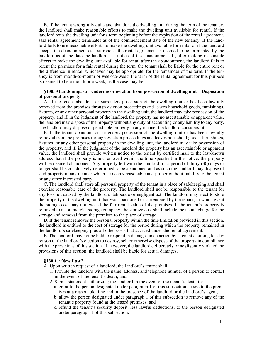B. If the tenant wrongfully quits and abandons the dwelling unit during the term of the tenancy, the landlord shall make reasonable efforts to make the dwelling unit available for rental. If the landlord rents the dwelling unit for a term beginning before the expiration of the rental agreement, said rental agreement terminates as of the commencement date of the new tenancy. If the landlord fails to use reasonable efforts to make the dwelling unit available for rental or if the landlord accepts the abandonment as a surrender, the rental agreement is deemed to be terminated by the landlord as of the date the landlord has notice of the abandonment. If, after making reasonable efforts to make the dwelling unit available for rental after the abandonment, the landlord fails to rerent the premises for a fair rental during the term, the tenant shall be liable for the entire rent or the difference in rental, whichever may be appropriate, for the remainder of the term. If the tenancy is from month-to-month or week-to-week, the term of the rental agreement for this purpose is deemed to be a month or a week, as the case may be.

# **§130. Abandoning, surrendering or eviction from possession of dwelling unit—Disposition of personal property**

A. If the tenant abandons or surrenders possession of the dwelling unit or has been lawfully removed from the premises through eviction proceedings and leaves household goods, furnishings, fixtures, or any other personal property in the dwelling unit, the landlord may take possession of the property, and if, in the judgment of the landlord, the property has no ascertainable or apparent value, the landlord may dispose of the property without any duty of accounting or any liability to any party. The landlord may dispose of perishable property in any manner the landlord considers fit.

B. If the tenant abandons or surrenders possession of the dwelling unit or has been lawfully removed from the premises through eviction proceedings and leaves household goods, furnishings, fixtures, or any other personal property in the dwelling unit, the landlord may take possession of the property, and if, in the judgment of the landlord the property has an ascertainable or apparent value, the landlord shall provide written notice to the tenant by certified mail to the last-known address that if the property is not removed within the time specified in the notice, the property will be deemed abandoned. Any property left with the landlord for a period of thirty (30) days or longer shall be conclusively determined to be abandoned and as such the landlord may dispose of said property in any manner which he deems reasonable and proper without liability to the tenant or any other interested party.

C. The landlord shall store all personal property of the tenant in a place of safekeeping and shall exercise reasonable care of the property. The landlord shall not be responsible to the tenant for any loss not caused by the landlord's deliberate or negligent act. The landlord may elect to store the property in the dwelling unit that was abandoned or surrendered by the tenant, in which event the storage cost may not exceed the fair rental value of the premises. If the tenant's property is removed to a commercial storage company, the storage cost shall include the actual charge for the storage and removal from the premises to the place of storage.

D. If the tenant removes the personal property within the time limitation provided in this section, the landlord is entitled to the cost of storage for the period during which the property remained in the landlord's safekeeping plus all other costs that accrued under the rental agreement.

E. The landlord may not be held to respond in damages in an action by a tenant claiming loss by reason of the landlord's election to destroy, sell or otherwise dispose of the property in compliance with the provisions of this section. If, however, the landlord deliberately or negligently violated the provisions of this section, the landlord shall be liable for actual damages.

# **§130.1. "New Law"**

A. Upon written request of a landlord, the landlord's tenant shall:

- 1. Provide the landlord with the name, address, and telephone number of a person to contact in the event of the tenant's death; and
- 2. Sign a statement authorizing the landlord in the event of the tenant's death to:
	- a. grant to the person designated under paragraph 1 of this subsection access to the premises at a reasonable time and in the presence of the landlord or the landlord's agent,
	- b. allow the person designated under paragraph 1 of this subsection to remove any of the tenant's property found at the leased premises, and
	- c. refund the tenant's security deposit, less lawful deductions, to the person designated under paragraph 1 of this subsection.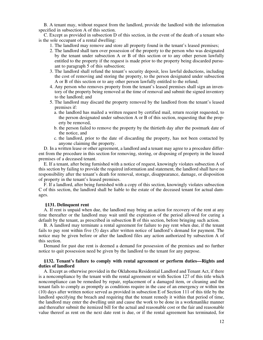B. A tenant may, without request from the landlord, provide the landlord with the information specified in subsection A of this section.

C. Except as provided in subsection D of this section, in the event of the death of a tenant who is the sole occupant of a rental dwelling:

- 1. The landlord may remove and store all property found in the tenant's leased premises;
- 2. The landlord shall turn over possession of the property to the person who was designated by the tenant under subsection A or B of this section or to any other person lawfully entitled to the property if the request is made prior to the property being discarded pursuant to paragraph 5 of this subsection;
- 3. The landlord shall refund the tenant's security deposit, less lawful deductions, including the cost of removing and storing the property, to the person designated under subsection A or B of this section or to any other person lawfully entitled to the refund;
- 4. Any person who removes property from the tenant's leased premises shall sign an inventory of the property being removed at the time of removal and submit the signed inventory to the landlord; and
- 5. The landlord may discard the property removed by the landlord from the tenant's leased premises if:
	- a. the landlord has mailed a written request by certified mail, return receipt requested, to the person designated under subsection A or B of this section, requesting that the property be removed,
	- b. the person failed to remove the property by the thirtieth day after the postmark date of the notice, and
	- c. the landlord, prior to the date of discarding the property, has not been contacted by anyone claiming the property.

D. In a written lease or other agreement, a landlord and a tenant may agree to a procedure different from the procedure in this section for removing, storing, or disposing of property in the leased premises of a deceased tenant.

E. If a tenant, after being furnished with a notice of request, knowingly violates subsection A of this section by failing to provide the required information and statement, the landlord shall have no responsibility after the tenant's death for removal, storage, disappearance, damage, or disposition of property in the tenant's leased premises.

F. If a landlord, after being furnished with a copy of this section, knowingly violates subsection C of this section, the landlord shall be liable to the estate of the deceased tenant for actual damages.

# **§131. Delinquent rent**

A. If rent is unpaid when due, the landlord may bring an action for recovery of the rent at any time thereafter or the landlord may wait until the expiration of the period allowed for curing a default by the tenant, as prescribed in subsection B of this section, before bringing such action.

B. A landlord may terminate a rental agreement for failure to pay rent when due, if the tenant fails to pay rent within five (5) days after written notice of landlord's demand for payment. The notice may be given before or after the landlord files any action authorized by subsection A of this section.

Demand for past due rent is deemed a demand for possession of the premises and no further notice to quit possession need be given by the landlord to the tenant for any purpose.

# **§132. Tenant's failure to comply with rental agreement or perform duties—Rights and duties of landlord**

A. Except as otherwise provided in the Oklahoma Residential Landlord and Tenant Act, if there is a noncompliance by the tenant with the rental agreement or with Section 127 of this title which noncompliance can be remedied by repair, replacement of a damaged item, or cleaning and the tenant fails to comply as promptly as conditions require in the case of an emergency or within ten (10) days after written notice served as provided in subsection E of Section 111 of this title by the landlord specifying the breach and requiring that the tenant remedy it within that period of time, the landlord may enter the dwelling unit and cause the work to be done in a workmanlike manner and thereafter submit the itemized bill for the actual and reasonable cost or the fair and reasonable value thereof as rent on the next date rent is due, or if the rental agreement has terminated, for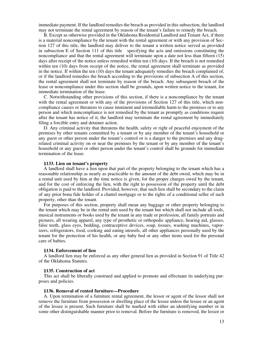immediate payment. If the landlord remedies the breach as provided in this subsection, the landlord may not terminate the rental agreement by reason of the tenant's failure to remedy the breach.

B. Except as otherwise provided in the Oklahoma Residential Landlord and Tenant Act, if there is a material noncompliance by the tenant with the rental agreement or with any provision of Section 127 of this title, the landlord may deliver to the tenant a written notice served as provided in subsection E of Section 111 of this title specifying the acts and omissions constituting the noncompliance and that the rental agreement will terminate upon a date not less than fifteen (15) days after receipt of the notice unless remedied within ten (10) days. If the breach is not remedied within ten (10) days from receipt of the notice, the rental agreement shall terminate as provided in the notice. If within the ten (10) days the tenant adequately remedies the breach complained of, or if the landlord remedies the breach according to the provisions of subsection A of this section, the rental agreement shall not terminate by reason of the breach. Any subsequent breach of the lease or noncompliance under this section shall be grounds, upon written notice to the tenant, for immediate termination of the lease.

C. Notwithstanding other provisions of this section, if there is a noncompliance by the tenant with the rental agreement or with any of the provisions of Section 127 of this title, which noncompliance causes or threatens to cause imminent and irremediable harm to the premises or to any person and which noncompliance is not remedied by the tenant as promptly as conditions require after the tenant has notice of it, the landlord may terminate the rental agreement by immediately filing a forcible entry and detainer action.

D. Any criminal activity that threatens the health, safety or right of peaceful enjoyment of the premises by other tenants committed by a tenant or by any member of the tenant's household or any guest or other person under the tenant's control or is a danger to the premises and any drugrelated criminal activity on or near the premises by the tenant or by any member of the tenant's household or any guest or other person under the tenant's control shall be grounds for immediate termination of the lease.

## **§133. Lien on tenant's property**

A landlord shall have a lien upon that part of the property belonging to the tenant which has a reasonable relationship as nearly as practicable to the amount of the debt owed, which may be in a rental unit used by him at the time notice is given, for the proper charges owed by the tenant, and for the cost of enforcing the lien, with the right to possession of the property until the debt obligation is paid to the landlord. Provided, however, that such lien shall be secondary to the claim of any prior bona fide holder of a chattel mortgage or to the rights of a conditional seller of such property, other than the tenant.

For purposes of this section, property shall mean any baggage or other property belonging to the tenant which may be in the rental unit used by the tenant but which shall not include all tools, musical instruments or books used by the tenant in any trade or profession, all family portraits and pictures, all wearing apparel, any type of prosthetic or orthopedic appliance, hearing aid, glasses, false teeth, glass eyes, bedding, contraceptive devices, soap, tissues, washing machines, vaporizers, refrigerators, food, cooking and eating utensils, all other appliances personally used by the tenant for the protection of his health, or any baby bed or any other items used for the personal care of babies.

## **§134. Enforcement of lien**

A landlord lien may be enforced as any other general lien as provided in Section 91 of Title 42 of the Oklahoma Statutes.

## **§135. Construction of act**

This act shall be liberally construed and applied to promote and effectuate its underlying purposes and policies.

#### **§136. Removal of rented furniture—Procedure**

A. Upon termination of a furniture rental agreement, the lessor or agent of the lessor shall not remove the furniture from possession or dwelling place of the lessee unless the lessee or an agent of the lessee is present. Such furniture shall be marked with either an identifying number or in some other distinguishable manner prior to removal. Before the furniture is removed, the lessor or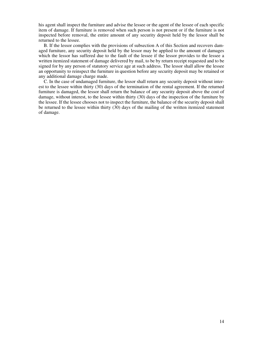his agent shall inspect the furniture and advise the lessee or the agent of the lessee of each specific item of damage. If furniture is removed when such person is not present or if the furniture is not inspected before removal, the entire amount of any security deposit held by the lessor shall be returned to the lessee.

B. If the lessor complies with the provisions of subsection A of this Section and recovers damaged furniture, any security deposit held by the lessor may be applied to the amount of damages which the lessor has suffered due to the fault of the lessee if the lessor provides to the lessee a written itemized statement of damage delivered by mail, to be by return receipt requested and to be signed for by any person of statutory service age at such address. The lessor shall allow the lessee an opportunity to reinspect the furniture in question before any security deposit may be retained or any additional damage charge made.

C. In the case of undamaged furniture, the lessor shall return any security deposit without interest to the lessee within thirty (30) days of the termination of the rental agreement. If the returned furniture is damaged, the lessor shall return the balance of any security deposit above the cost of damage, without interest, to the lessee within thirty (30) days of the inspection of the furniture by the lessee. If the lessee chooses not to inspect the furniture, the balance of the security deposit shall be returned to the lessee within thirty (30) days of the mailing of the written itemized statement of damage.